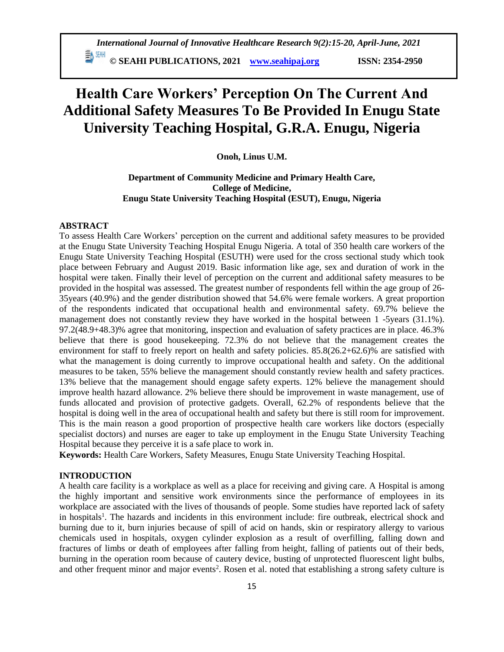# **Health Care Workers' Perception On The Current And Additional Safety Measures To Be Provided In Enugu State University Teaching Hospital, G.R.A. Enugu, Nigeria**

**Onoh, Linus U.M.**

# **Department of Community Medicine and Primary Health Care, College of Medicine, Enugu State University Teaching Hospital (ESUT), Enugu, Nigeria**

### **ABSTRACT**

To assess Health Care Workers' perception on the current and additional safety measures to be provided at the Enugu State University Teaching Hospital Enugu Nigeria. A total of 350 health care workers of the Enugu State University Teaching Hospital (ESUTH) were used for the cross sectional study which took place between February and August 2019. Basic information like age, sex and duration of work in the hospital were taken. Finally their level of perception on the current and additional safety measures to be provided in the hospital was assessed. The greatest number of respondents fell within the age group of 26- 35years (40.9%) and the gender distribution showed that 54.6% were female workers. A great proportion of the respondents indicated that occupational health and environmental safety. 69.7% believe the management does not constantly review they have worked in the hospital between 1 -5years (31.1%). 97.2(48.9+48.3)% agree that monitoring, inspection and evaluation of safety practices are in place. 46.3% believe that there is good housekeeping. 72.3% do not believe that the management creates the environment for staff to freely report on health and safety policies. 85.8(26.2+62.6)% are satisfied with what the management is doing currently to improve occupational health and safety. On the additional measures to be taken, 55% believe the management should constantly review health and safety practices. 13% believe that the management should engage safety experts. 12% believe the management should improve health hazard allowance. 2% believe there should be improvement in waste management, use of funds allocated and provision of protective gadgets. Overall, 62.2% of respondents believe that the hospital is doing well in the area of occupational health and safety but there is still room for improvement. This is the main reason a good proportion of prospective health care workers like doctors (especially specialist doctors) and nurses are eager to take up employment in the Enugu State University Teaching Hospital because they perceive it is a safe place to work in.

**Keywords:** Health Care Workers, Safety Measures, Enugu State University Teaching Hospital.

# **INTRODUCTION**

A health care facility is a workplace as well as a place for receiving and giving care. A Hospital is among the highly important and sensitive work environments since the performance of employees in its workplace are associated with the lives of thousands of people. Some studies have reported lack of safety in hospitals<sup>1</sup>. The hazards and incidents in this environment include: fire outbreak, electrical shock and burning due to it, burn injuries because of spill of acid on hands, skin or respiratory allergy to various chemicals used in hospitals, oxygen cylinder explosion as a result of overfilling, falling down and fractures of limbs or death of employees after falling from height, falling of patients out of their beds, burning in the operation room because of cautery device, busting of unprotected fluorescent light bulbs, and other frequent minor and major events<sup>2</sup>. Rosen et al. noted that establishing a strong safety culture is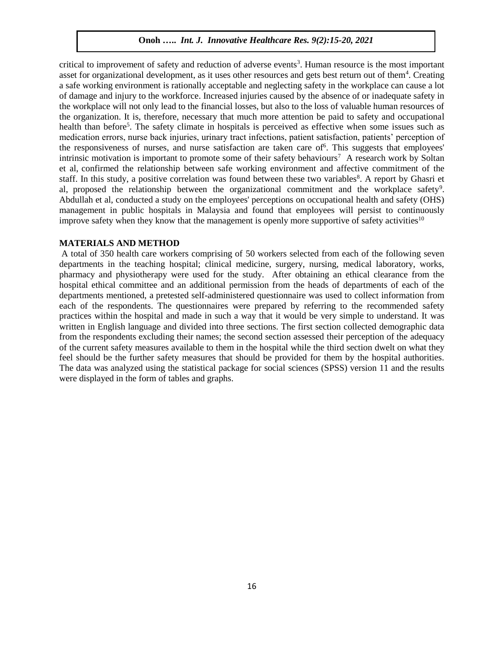critical to improvement of safety and reduction of adverse events<sup>3</sup>. Human resource is the most important asset for organizational development, as it uses other resources and gets best return out of them<sup>4</sup>. Creating a safe working environment is rationally acceptable and neglecting safety in the workplace can cause a lot of damage and injury to the workforce. Increased injuries caused by the absence of or inadequate safety in the workplace will not only lead to the financial losses, but also to the loss of valuable human resources of the organization. It is, therefore, necessary that much more attention be paid to safety and occupational health than before<sup>5</sup>. The safety climate in hospitals is perceived as effective when some issues such as medication errors, nurse back injuries, urinary tract infections, patient satisfaction, patients' perception of the responsiveness of nurses, and nurse satisfaction are taken care of<sup>6</sup>. This suggests that employees' intrinsic motivation is important to promote some of their safety behaviours<sup>7</sup> A research work by Soltan et al, confirmed the relationship between safe working environment and affective commitment of the staff. In this study, a positive correlation was found between these two variables<sup>8</sup>. A report by Ghasri et al, proposed the relationship between the organizational commitment and the workplace safety<sup>9</sup>. Abdullah et al, conducted a study on the employees' perceptions on occupational health and safety (OHS) management in public hospitals in Malaysia and found that employees will persist to continuously improve safety when they know that the management is openly more supportive of safety activities $10$ 

### **MATERIALS AND METHOD**

A total of 350 health care workers comprising of 50 workers selected from each of the following seven departments in the teaching hospital; clinical medicine, surgery, nursing, medical laboratory, works, pharmacy and physiotherapy were used for the study. After obtaining an ethical clearance from the hospital ethical committee and an additional permission from the heads of departments of each of the departments mentioned, a pretested self-administered questionnaire was used to collect information from each of the respondents. The questionnaires were prepared by referring to the recommended safety practices within the hospital and made in such a way that it would be very simple to understand. It was written in English language and divided into three sections. The first section collected demographic data from the respondents excluding their names; the second section assessed their perception of the adequacy of the current safety measures available to them in the hospital while the third section dwelt on what they feel should be the further safety measures that should be provided for them by the hospital authorities. The data was analyzed using the statistical package for social sciences (SPSS) version 11 and the results were displayed in the form of tables and graphs.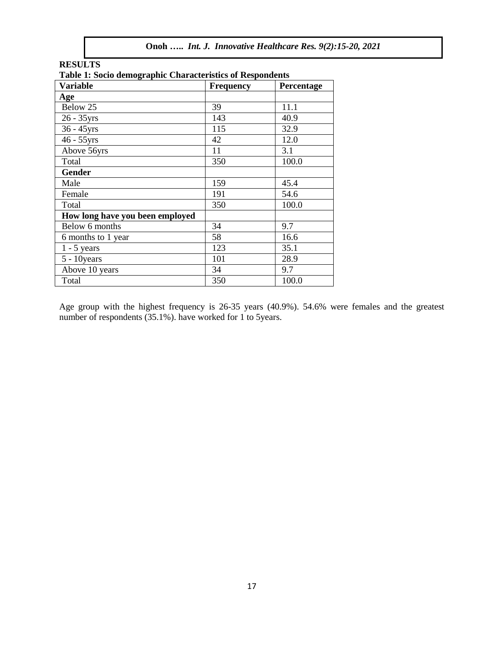| <b>RESULTS</b>                                                   |                  |            |  |
|------------------------------------------------------------------|------------------|------------|--|
| <b>Table 1: Socio demographic Characteristics of Respondents</b> |                  |            |  |
| <b>Variable</b>                                                  | <b>Frequency</b> | Percentage |  |
| Age                                                              |                  |            |  |
| Below 25                                                         | 39               | 11.1       |  |
| 26 - 35yrs                                                       | 143              | 40.9       |  |
| $36 - 45$ yrs                                                    | 115              | 32.9       |  |
| 46 - 55yrs                                                       | 42               | 12.0       |  |
| Above 56yrs                                                      | 11               | 3.1        |  |
| Total                                                            | 350              | 100.0      |  |
| <b>Gender</b>                                                    |                  |            |  |
| Male                                                             | 159              | 45.4       |  |
| Female                                                           | 191              | 54.6       |  |
| Total                                                            | 350              | 100.0      |  |
| How long have you been employed                                  |                  |            |  |
| Below 6 months                                                   | 34               | 9.7        |  |
| 6 months to 1 year                                               | 58               | 16.6       |  |
| $1 - 5$ years                                                    | 123              | 35.1       |  |
| $5 - 10$ years                                                   | 101              | 28.9       |  |
| Above 10 years                                                   | 34               | 9.7        |  |
| Total                                                            | 350              | 100.0      |  |

Age group with the highest frequency is 26-35 years (40.9%). 54.6% were females and the greatest number of respondents (35.1%). have worked for 1 to 5years.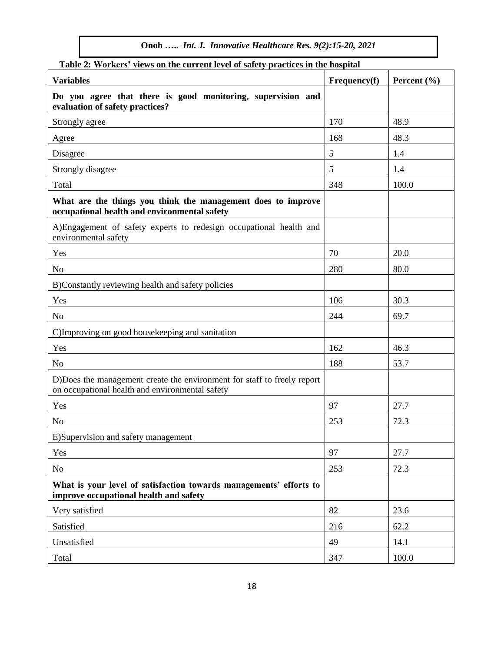**Onoh …..** *Int. J. Innovative Healthcare Res. 9(2):15-20, 2021*

| Table 2: Workers' views on the current level of safety practices in the hospital                                           |              |                 |  |
|----------------------------------------------------------------------------------------------------------------------------|--------------|-----------------|--|
| <b>Variables</b>                                                                                                           | Frequency(f) | Percent $(\% )$ |  |
| Do you agree that there is good monitoring, supervision and<br>evaluation of safety practices?                             |              |                 |  |
| Strongly agree                                                                                                             | 170          | 48.9            |  |
| Agree                                                                                                                      | 168          | 48.3            |  |
| Disagree                                                                                                                   | 5            | 1.4             |  |
| Strongly disagree                                                                                                          | 5            | 1.4             |  |
| Total                                                                                                                      | 348          | 100.0           |  |
| What are the things you think the management does to improve<br>occupational health and environmental safety               |              |                 |  |
| A)Engagement of safety experts to redesign occupational health and<br>environmental safety                                 |              |                 |  |
| Yes                                                                                                                        | 70           | 20.0            |  |
| N <sub>o</sub>                                                                                                             | 280          | 80.0            |  |
| B)Constantly reviewing health and safety policies                                                                          |              |                 |  |
| Yes                                                                                                                        | 106          | 30.3            |  |
| No                                                                                                                         | 244          | 69.7            |  |
| C)Improving on good housekeeping and sanitation                                                                            |              |                 |  |
| Yes                                                                                                                        | 162          | 46.3            |  |
| N <sub>o</sub>                                                                                                             | 188          | 53.7            |  |
| D)Does the management create the environment for staff to freely report<br>on occupational health and environmental safety |              |                 |  |
| Yes                                                                                                                        | 97           | 27.7            |  |
| N <sub>o</sub>                                                                                                             | 253          | 72.3            |  |
| E)Supervision and safety management                                                                                        |              |                 |  |
| Yes                                                                                                                        | 97           | 27.7            |  |
| N <sub>o</sub>                                                                                                             | 253          | 72.3            |  |
| What is your level of satisfaction towards managements' efforts to<br>improve occupational health and safety               |              |                 |  |
| Very satisfied                                                                                                             | 82           | 23.6            |  |
| Satisfied                                                                                                                  | 216          | 62.2            |  |
| Unsatisfied                                                                                                                | 49           | 14.1            |  |
| Total                                                                                                                      | 347          | 100.0           |  |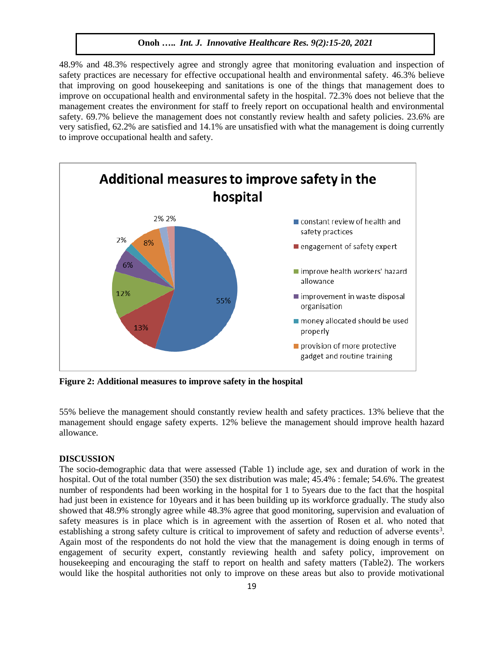48.9% and 48.3% respectively agree and strongly agree that monitoring evaluation and inspection of safety practices are necessary for effective occupational health and environmental safety. 46.3% believe that improving on good housekeeping and sanitations is one of the things that management does to improve on occupational health and environmental safety in the hospital. 72.3% does not believe that the management creates the environment for staff to freely report on occupational health and environmental safety. 69.7% believe the management does not constantly review health and safety policies. 23.6% are very satisfied, 62.2% are satisfied and 14.1% are unsatisfied with what the management is doing currently to improve occupational health and safety.



**Figure 2: Additional measures to improve safety in the hospital**

55% believe the management should constantly review health and safety practices. 13% believe that the management should engage safety experts. 12% believe the management should improve health hazard allowance.

#### **DISCUSSION**

The socio-demographic data that were assessed (Table 1) include age, sex and duration of work in the hospital. Out of the total number (350) the sex distribution was male; 45.4% : female; 54.6%. The greatest number of respondents had been working in the hospital for 1 to 5years due to the fact that the hospital had just been in existence for 10years and it has been building up its workforce gradually. The study also showed that 48.9% strongly agree while 48.3% agree that good monitoring, supervision and evaluation of safety measures is in place which is in agreement with the assertion of Rosen et al. who noted that establishing a strong safety culture is critical to improvement of safety and reduction of adverse events<sup>3</sup>. Again most of the respondents do not hold the view that the management is doing enough in terms of engagement of security expert, constantly reviewing health and safety policy, improvement on housekeeping and encouraging the staff to report on health and safety matters (Table2). The workers would like the hospital authorities not only to improve on these areas but also to provide motivational